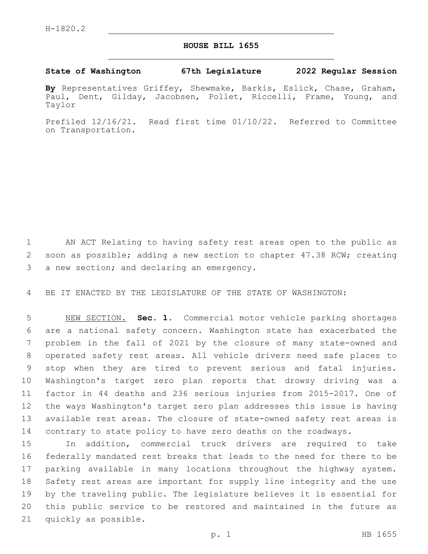## **HOUSE BILL 1655**

## **State of Washington 67th Legislature 2022 Regular Session**

**By** Representatives Griffey, Shewmake, Barkis, Eslick, Chase, Graham, Paul, Dent, Gilday, Jacobsen, Pollet, Riccelli, Frame, Young, and Taylor

Prefiled 12/16/21. Read first time 01/10/22. Referred to Committee on Transportation.

 AN ACT Relating to having safety rest areas open to the public as soon as possible; adding a new section to chapter 47.38 RCW; creating 3 a new section; and declaring an emergency.

BE IT ENACTED BY THE LEGISLATURE OF THE STATE OF WASHINGTON:

 NEW SECTION. **Sec. 1.** Commercial motor vehicle parking shortages are a national safety concern. Washington state has exacerbated the problem in the fall of 2021 by the closure of many state-owned and operated safety rest areas. All vehicle drivers need safe places to stop when they are tired to prevent serious and fatal injuries. Washington's target zero plan reports that drowsy driving was a factor in 44 deaths and 236 serious injuries from 2015-2017. One of the ways Washington's target zero plan addresses this issue is having available rest areas. The closure of state-owned safety rest areas is contrary to state policy to have zero deaths on the roadways.

 In addition, commercial truck drivers are required to take federally mandated rest breaks that leads to the need for there to be parking available in many locations throughout the highway system. Safety rest areas are important for supply line integrity and the use by the traveling public. The legislature believes it is essential for this public service to be restored and maintained in the future as 21 quickly as possible.